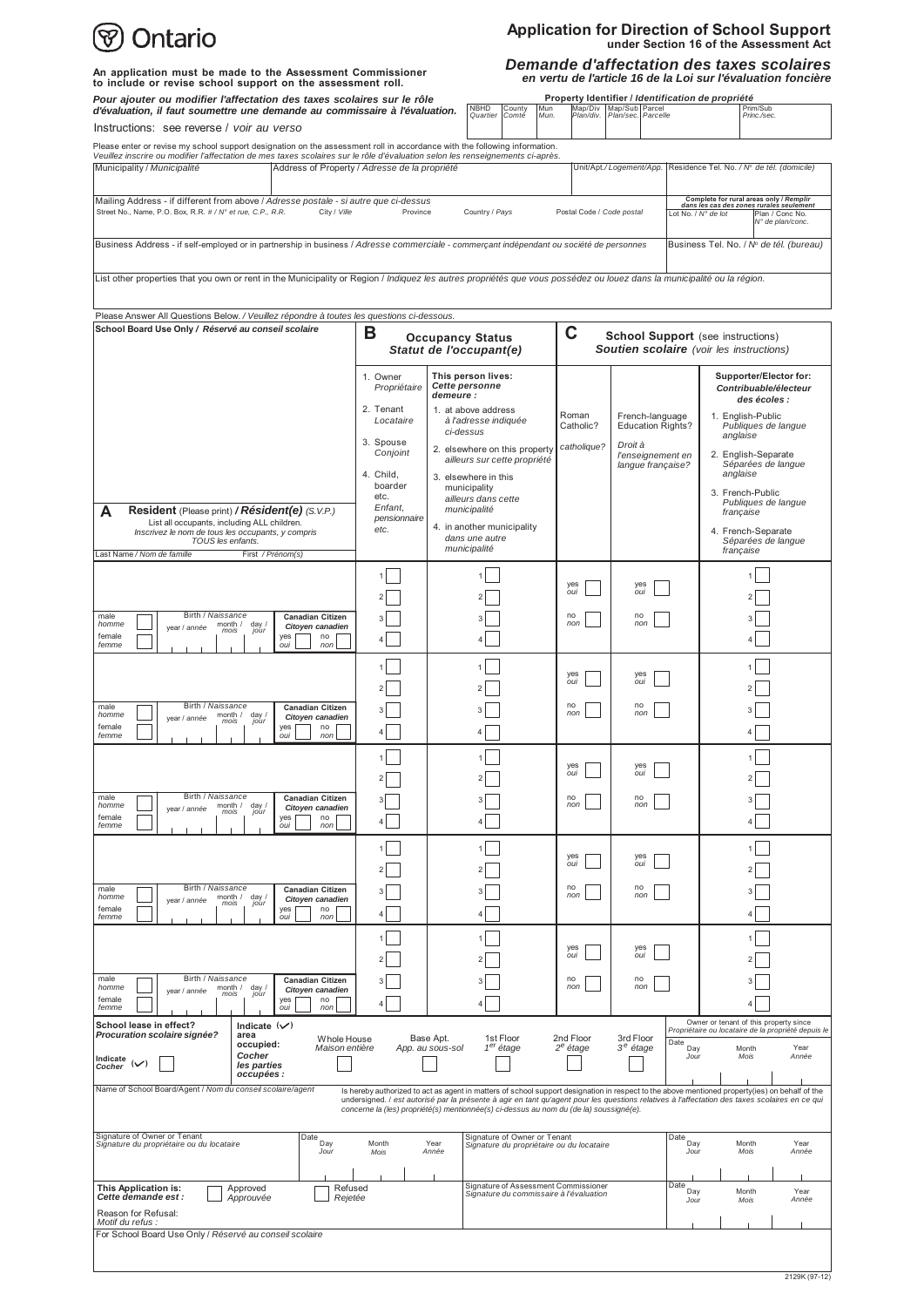| Ontario                                                                                                                                                                                           |                                                         | Application for Direction of School Support<br>under Section 16 of the Assessment Act<br>Demande d'affectation des taxes scolaires<br>en vertu de l'article 16 de la Loi sur l'évaluation foncière                                                                                                                                                                                         |                                                   |                                                        |                                                                                             |                                                                                                                                                   |               |  |
|---------------------------------------------------------------------------------------------------------------------------------------------------------------------------------------------------|---------------------------------------------------------|--------------------------------------------------------------------------------------------------------------------------------------------------------------------------------------------------------------------------------------------------------------------------------------------------------------------------------------------------------------------------------------------|---------------------------------------------------|--------------------------------------------------------|---------------------------------------------------------------------------------------------|---------------------------------------------------------------------------------------------------------------------------------------------------|---------------|--|
| An application must be made to the Assessment Commissioner<br>to include or revise school support on the assessment roll.                                                                         |                                                         |                                                                                                                                                                                                                                                                                                                                                                                            |                                                   |                                                        |                                                                                             |                                                                                                                                                   |               |  |
| Pour ajouter ou modifier l'affectation des taxes scolaires sur le rôle<br>d'évaluation, il faut soumettre une demande au commissaire à l'évaluation.<br>Instructions: see reverse / voir au verso |                                                         | Mun<br><b>NBHD</b><br>County<br>Comté<br>Mun.<br>Quartier                                                                                                                                                                                                                                                                                                                                  | Property Identifier / Identification de propriété | Map/Div Map/Sub Parcel<br>Plan/div. Plan/sec. Parcelle |                                                                                             | Prim/Sub<br>Princ./sec.                                                                                                                           |               |  |
| Please enter or revise my school support designation on the assessment roll in accordance with the following information.                                                                         |                                                         |                                                                                                                                                                                                                                                                                                                                                                                            |                                                   |                                                        |                                                                                             |                                                                                                                                                   |               |  |
| Veuillez inscrire ou modifier l'affectation de mes taxes scolaires sur le rôle d'évaluation selon les renseignements ci-après.                                                                    |                                                         |                                                                                                                                                                                                                                                                                                                                                                                            |                                                   |                                                        |                                                                                             |                                                                                                                                                   |               |  |
| Municipality / Municipalité<br>Address of Property / Adresse de la propriété                                                                                                                      |                                                         |                                                                                                                                                                                                                                                                                                                                                                                            |                                                   | Unit/Apt./Logement/App.                                |                                                                                             | Residence Tel. No. / Nº de tél. (domicile)                                                                                                        |               |  |
| Mailing Address - if different from above / Adresse postale - si autre que ci-dessus<br>Street No., Name, P.O. Box, R.R. # / N° et rue, C.P., R.R.<br>City / Ville                                | Province<br>Country / Pays                              |                                                                                                                                                                                                                                                                                                                                                                                            |                                                   | Postal Code / Code postal                              |                                                                                             | Complete for rural areas only / Remplir<br>dans les cas des zones rurales seulement<br>Lot No. / N° de lot<br>Plan / Conc No.<br>N° de plan/conc. |               |  |
| Business Address - if self-employed or in partnership in business / Adresse commerciale - commerçant indépendant ou société de personnes                                                          |                                                         |                                                                                                                                                                                                                                                                                                                                                                                            |                                                   |                                                        |                                                                                             | Business Tel. No. / Nº de tél. (bureau)                                                                                                           |               |  |
| List other properties that you own or rent in the Municipality or Region / Indiquez les autres propriétés que vous possédez ou louez dans la municipalité ou la région.                           |                                                         |                                                                                                                                                                                                                                                                                                                                                                                            |                                                   |                                                        |                                                                                             |                                                                                                                                                   |               |  |
| Please Answer All Questions Below. / Veuillez répondre à toutes les questions ci-dessous.                                                                                                         |                                                         |                                                                                                                                                                                                                                                                                                                                                                                            |                                                   |                                                        |                                                                                             |                                                                                                                                                   |               |  |
| School Board Use Only / Réservé au conseil scolaire                                                                                                                                               | в<br><b>Occupancy Status</b><br>Statut de l'occupant(e) |                                                                                                                                                                                                                                                                                                                                                                                            | C                                                 |                                                        | <b>School Support</b> (see instructions)<br><b>Soutien scolaire</b> (voir les instructions) |                                                                                                                                                   |               |  |
|                                                                                                                                                                                                   | 1. Owner<br>Propriétaire                                | This person lives:<br>Cette personne<br>demeure :                                                                                                                                                                                                                                                                                                                                          |                                                   |                                                        |                                                                                             | Supporter/Elector for:<br>Contribuable/électeur<br>des écoles :                                                                                   |               |  |
|                                                                                                                                                                                                   | 2. Tenant<br>Locataire                                  | 1. at above address<br>à l'adresse indiquée                                                                                                                                                                                                                                                                                                                                                | Roman<br>Catholic?                                | French-language<br><b>Education Rights?</b>            | 1. English-Public<br>Publiques de langue                                                    |                                                                                                                                                   |               |  |
|                                                                                                                                                                                                   | 3. Spouse<br>Conjoint                                   | ci-dessus<br>2. elsewhere on this property<br>ailleurs sur cette propriété                                                                                                                                                                                                                                                                                                                 | catholique?                                       | Droit à<br>l'enseignement en                           |                                                                                             | anglaise<br>2. English-Separate                                                                                                                   |               |  |
|                                                                                                                                                                                                   | 4. Child.<br>boarder                                    | 3. elsewhere in this<br>municipality                                                                                                                                                                                                                                                                                                                                                       |                                                   | lanque française?                                      |                                                                                             | Séparées de lanque<br>anglaise                                                                                                                    |               |  |
| А<br><b>Resident</b> (Please print) <b>/ Résident(e)</b> (S.V.P.)                                                                                                                                 | etc.<br>Enfant,                                         | ailleurs dans cette<br>municipalité                                                                                                                                                                                                                                                                                                                                                        |                                                   |                                                        |                                                                                             | 3. French-Public<br>Publiques de langue<br>française                                                                                              |               |  |
| List all occupants, including ALL children.<br>Inscrivez le nom de tous les occupants, y compris<br>TOUS les enfants.<br>Last Name / Nom de famille<br>First / Prénom(s)                          | pensionnaire<br>etc.                                    | 4. in another municipality<br>dans une autre<br>municipalité                                                                                                                                                                                                                                                                                                                               |                                                   |                                                        |                                                                                             | 4. French-Separate<br>Séparées de langue<br>française                                                                                             |               |  |
|                                                                                                                                                                                                   |                                                         |                                                                                                                                                                                                                                                                                                                                                                                            |                                                   |                                                        |                                                                                             |                                                                                                                                                   |               |  |
|                                                                                                                                                                                                   |                                                         |                                                                                                                                                                                                                                                                                                                                                                                            | yes<br>oui                                        | yes<br>oui                                             |                                                                                             |                                                                                                                                                   |               |  |
| Birth / Naissance<br>male<br><b>Canadian Citizen</b><br>month /<br>homme                                                                                                                          |                                                         |                                                                                                                                                                                                                                                                                                                                                                                            | no<br>non                                         | no<br>non                                              |                                                                                             |                                                                                                                                                   |               |  |
| day /<br>jour<br>Citoyen canadien<br>year / année<br>mois<br>female<br>yes<br>no<br>femme<br>oui<br>non                                                                                           |                                                         |                                                                                                                                                                                                                                                                                                                                                                                            |                                                   |                                                        |                                                                                             |                                                                                                                                                   |               |  |
|                                                                                                                                                                                                   |                                                         |                                                                                                                                                                                                                                                                                                                                                                                            | yes                                               | yes                                                    |                                                                                             |                                                                                                                                                   |               |  |
|                                                                                                                                                                                                   |                                                         |                                                                                                                                                                                                                                                                                                                                                                                            | oui                                               | oui                                                    |                                                                                             |                                                                                                                                                   |               |  |
| Birth / Naissance<br>male<br><b>Canadian Citizen</b><br>homme<br>month / day /<br>mois jour<br>Citoven canadien<br>year / année                                                                   |                                                         |                                                                                                                                                                                                                                                                                                                                                                                            | no<br>non                                         | no<br>non                                              |                                                                                             |                                                                                                                                                   |               |  |
| female<br>yes<br>no<br>femme<br>oui<br>non                                                                                                                                                        | $\overline{4}$                                          | 4                                                                                                                                                                                                                                                                                                                                                                                          |                                                   |                                                        |                                                                                             | 4                                                                                                                                                 |               |  |
|                                                                                                                                                                                                   |                                                         |                                                                                                                                                                                                                                                                                                                                                                                            | yes<br>oui                                        | yes<br>oui                                             |                                                                                             |                                                                                                                                                   |               |  |
| Birth / Naissance<br>male<br><b>Canadian Citizen</b>                                                                                                                                              |                                                         |                                                                                                                                                                                                                                                                                                                                                                                            | no                                                | no                                                     |                                                                                             |                                                                                                                                                   |               |  |
| homme<br>month /<br>day<br>jour<br>Citoyen canadien<br>year / année<br>mois<br>female<br>yes<br>no<br>femme<br>nor<br>oui                                                                         |                                                         |                                                                                                                                                                                                                                                                                                                                                                                            | non                                               | non                                                    |                                                                                             |                                                                                                                                                   |               |  |
|                                                                                                                                                                                                   |                                                         |                                                                                                                                                                                                                                                                                                                                                                                            | yes<br>oui                                        | yes<br>oui                                             |                                                                                             |                                                                                                                                                   |               |  |
| Birth / Naissance<br>male<br><b>Canadian Citizen</b>                                                                                                                                              |                                                         |                                                                                                                                                                                                                                                                                                                                                                                            | no                                                | no                                                     |                                                                                             |                                                                                                                                                   |               |  |
| homme<br>month $/$<br>day /<br>jour<br>Citoyen canadien<br>year / année<br>mois<br>female<br>yes<br>no                                                                                            |                                                         |                                                                                                                                                                                                                                                                                                                                                                                            | non                                               | non                                                    |                                                                                             |                                                                                                                                                   |               |  |
| femme<br>oui<br>non                                                                                                                                                                               |                                                         |                                                                                                                                                                                                                                                                                                                                                                                            |                                                   |                                                        |                                                                                             |                                                                                                                                                   |               |  |
|                                                                                                                                                                                                   |                                                         |                                                                                                                                                                                                                                                                                                                                                                                            | ves<br>OIII                                       | yes<br>oui                                             |                                                                                             |                                                                                                                                                   |               |  |
| Birth / Naissance<br>male                                                                                                                                                                         |                                                         |                                                                                                                                                                                                                                                                                                                                                                                            | no                                                | no                                                     |                                                                                             |                                                                                                                                                   |               |  |
| <b>Canadian Citizen</b><br>month /<br>homme<br>day<br>jour<br>Citoyen canadien<br>year / année<br>mois<br>female<br>yes<br>no                                                                     |                                                         |                                                                                                                                                                                                                                                                                                                                                                                            | non                                               | non                                                    |                                                                                             |                                                                                                                                                   |               |  |
| femme<br>oui<br>nor                                                                                                                                                                               |                                                         |                                                                                                                                                                                                                                                                                                                                                                                            |                                                   |                                                        |                                                                                             | Owner or tenant of this property since                                                                                                            |               |  |
| School lease in effect?<br>Indicate $(\vee)$<br>Procuration scolaire signée?<br>area<br>Whole House<br>occupied:                                                                                  |                                                         | 1st Floor<br>Base Apt.                                                                                                                                                                                                                                                                                                                                                                     | 2nd Floor                                         | 3rd Floor                                              | Date                                                                                        | Propriétaire ou locataire de la propriété depuis le                                                                                               |               |  |
| Maison entière<br>Cocher<br>Indicate<br>les parties<br>Cocher<br>occupées :                                                                                                                       |                                                         | $1er$ étage<br>App. au sous-sol                                                                                                                                                                                                                                                                                                                                                            | $2^e$ étage                                       | 3 <sup>e</sup> étage                                   | Day<br>Jour                                                                                 | Month<br>Mois                                                                                                                                     | Year<br>Année |  |
| Name of School Board/Agent / Nom du conseil scolaire/agent                                                                                                                                        |                                                         | Is hereby authorized to act as agent in matters of school support designation in respect to the above mentioned property(ies) on behalf of the<br>undersigned. / est autorisé par la présente à agir en tant qu'agent pour les questions relatives à l'affectation des taxes scolaires en ce qui<br>concerne la (les) propriété(s) mentionnée(s) ci-dessus au nom du (de la) soussigné(e). |                                                   |                                                        |                                                                                             |                                                                                                                                                   |               |  |
| Signature of Owner or Tenant<br>$\overline{\mathsf{Date}}_{\mathsf{Day}}$                                                                                                                         | Month                                                   | Signature of Owner or Tenant<br>Year                                                                                                                                                                                                                                                                                                                                                       |                                                   |                                                        | Date<br>Day                                                                                 | Month                                                                                                                                             | Year          |  |
| Signature du propriétaire ou du locataire<br>Jour                                                                                                                                                 | Mois                                                    | Signature du propriétaire ou du locataire<br>Année                                                                                                                                                                                                                                                                                                                                         |                                                   |                                                        | Jour                                                                                        | Mois                                                                                                                                              | Année         |  |
| This Application is:<br>Approved                                                                                                                                                                  |                                                         | Signature of Assessment Commissioner                                                                                                                                                                                                                                                                                                                                                       |                                                   |                                                        | Date                                                                                        |                                                                                                                                                   |               |  |
| Refused<br>Signature du commissaire à l'évaluation<br>Cette demande est :<br>Approuvée<br>Rejetée                                                                                                 |                                                         |                                                                                                                                                                                                                                                                                                                                                                                            |                                                   |                                                        | Day<br>Jour                                                                                 | Month<br>Mois                                                                                                                                     | Year<br>Année |  |
| Reason for Refusal:<br>Motif du refus :                                                                                                                                                           |                                                         |                                                                                                                                                                                                                                                                                                                                                                                            |                                                   |                                                        |                                                                                             |                                                                                                                                                   |               |  |
| For School Board Use Only / Réservé au conseil scolaire                                                                                                                                           |                                                         |                                                                                                                                                                                                                                                                                                                                                                                            |                                                   |                                                        |                                                                                             |                                                                                                                                                   |               |  |

# **Application for Direction of School Support under Section 16 of the Assessment Act**